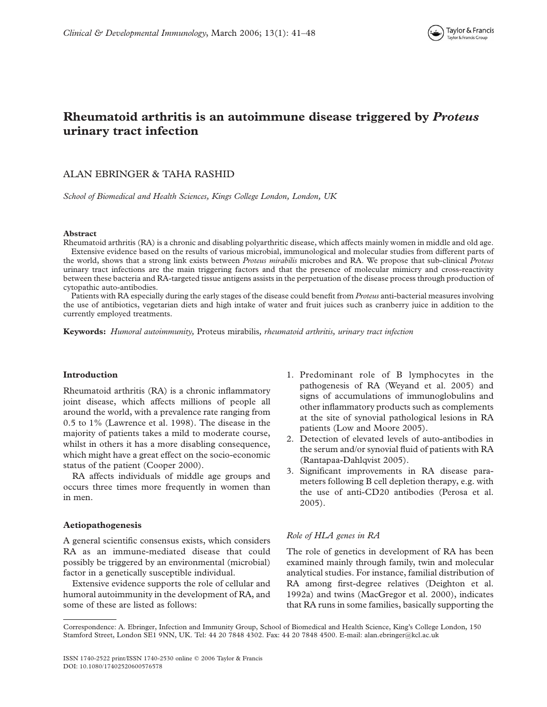

## Rheumatoid arthritis is an autoimmune disease triggered by *Proteus* urinary tract infection

### ALAN EBRINGER & TAHA RASHID

School of Biomedical and Health Sciences, Kings College London, London, UK

#### Abstract

Rheumatoid arthritis (RA) is a chronic and disabling polyarthritic disease, which affects mainly women in middle and old age. Extensive evidence based on the results of various microbial, immunological and molecular studies from different parts of the world, shows that a strong link exists between Proteus mirabilis microbes and RA. We propose that sub-clinical Proteus urinary tract infections are the main triggering factors and that the presence of molecular mimicry and cross-reactivity between these bacteria and RA-targeted tissue antigens assists in the perpetuation of the disease process through production of cytopathic auto-antibodies.

Patients with RA especially during the early stages of the disease could benefit from *Proteus* anti-bacterial measures involving the use of antibiotics, vegetarian diets and high intake of water and fruit juices such as cranberry juice in addition to the currently employed treatments.

Keywords: Humoral autoimmunity, Proteus mirabilis, rheumatoid arthritis, urinary tract infection

#### Introduction

Rheumatoid arthritis (RA) is a chronic inflammatory joint disease, which affects millions of people all around the world, with a prevalence rate ranging from 0.5 to 1% (Lawrence et al. 1998). The disease in the majority of patients takes a mild to moderate course, whilst in others it has a more disabling consequence, which might have a great effect on the socio-economic status of the patient (Cooper 2000).

RA affects individuals of middle age groups and occurs three times more frequently in women than in men.

#### Aetiopathogenesis

A general scientific consensus exists, which considers RA as an immune-mediated disease that could possibly be triggered by an environmental (microbial) factor in a genetically susceptible individual.

Extensive evidence supports the role of cellular and humoral autoimmunity in the development of RA, and some of these are listed as follows:

- 1. Predominant role of B lymphocytes in the pathogenesis of RA (Weyand et al. 2005) and signs of accumulations of immunoglobulins and other inflammatory products such as complements at the site of synovial pathological lesions in RA patients (Low and Moore 2005).
- 2. Detection of elevated levels of auto-antibodies in the serum and/or synovial fluid of patients with RA (Rantapaa-Dahlqvist 2005).
- 3. Significant improvements in RA disease parameters following B cell depletion therapy, e.g. with the use of anti-CD20 antibodies (Perosa et al. 2005).

#### Role of HLA genes in RA

The role of genetics in development of RA has been examined mainly through family, twin and molecular analytical studies. For instance, familial distribution of RA among first-degree relatives (Deighton et al. 1992a) and twins (MacGregor et al. 2000), indicates that RA runs in some families, basically supporting the

Correspondence: A. Ebringer, Infection and Immunity Group, School of Biomedical and Health Science, King's College London, 150 Stamford Street, London SE1 9NN, UK. Tel: 44 20 7848 4302. Fax: 44 20 7848 4500. E-mail: alan.ebringer@kcl.ac.uk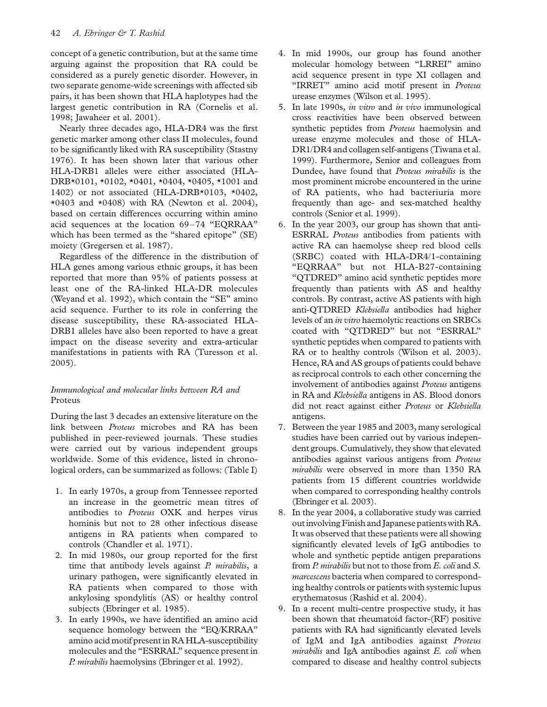concept of a genetic contribution, but at the same time arguing against the proposition that RA could be considered as a purely genetic disorder. However, in two separate genome-wide screenings with affected sib pairs, it has been shown that HLA haplotypes had the largest genetic contribution in RA (Cornelis et al. 1998; Jawaheer et al. 2001).

Nearly three decades ago, HLA-DR4 was the first genetic marker among other class II molecules, found to be significantly liked with RA susceptibility (Stastny 1976). It has been shown later that various other HLA-DRB1 alleles were either associated (HLA-DRB\*0101, \*0102, \*0401, \*0404, \*0405, \*1001 and 1402) or not associated (HLA-DRB\*0103, \*0402,  $*0403$  and  $*0408$ ) with RA (Newton et al. 2004), based on certain differences occurring within amino acid sequences at the location 69-74 "EQRRAA" which has been termed as the "shared epitope" (SE) moiety (Gregersen et al. 1987).

Regardless of the difference in the distribution of HLA genes among various ethnic groups, it has been reported that more than 95% of patients possess at least one of the RA-linked HLA-DR molecules (Weyand et al. 1992), which contain the "SE" amino acid sequence. Further to its role in conferring the disease susceptibility, these RA-associated HLA-DRB1 alleles have also been reported to have a great impact on the disease severity and extra-articular manifestations in patients with RA (Turesson et al. 2005).

### Immunological and molecular links between RA and Proteus

During the last 3 decades an extensive literature on the link between Proteus microbes and RA has been published in peer-reviewed journals. These studies were carried out by various independent groups worldwide. Some of this evidence, listed in chronological orders, can be summarized as follows: (Table I)

- 1. In early 1970s, a group from Tennessee reported an increase in the geometric mean titres of antibodies to Proteus OXK and herpes virus hominis but not to 28 other infectious disease antigens in RA patients when compared to controls (Chandler et al. 1971).
- 2. In mid 1980s, our group reported for the first time that antibody levels against  $P$ . mirabilis, a urinary pathogen, were significantly elevated in RA patients when compared to those with ankylosing spondylitis (AS) or healthy control subjects (Ebringer et al. 1985).
- 3. In early 1990s, we have identified an amino acid sequence homology between the "EQ/KRRAA" amino acid motif present in RA HLA-susceptibility molecules and the "ESRRAL" sequence present in P. mirabilis haemolysins (Ebringer et al. 1992).
- 4. In mid 1990s, our group has found another molecular homology between "LRREI" amino acid sequence present in type XI collagen and "IRRET" amino acid motif present in Proteus urease enzymes (Wilson et al. 1995).
- 5. In late 1990s, in vitro and in vivo immunological cross reactivities have been observed between synthetic peptides from Proteus haemolysin and urease enzyme molecules and those of HLA-DR1/DR4 and collagen self-antigens (Tiwana et al. 1999). Furthermore, Senior and colleagues from Dundee, have found that Proteus mirabilis is the most prominent microbe encountered in the urine of RA patients, who had bacteriuria more frequently than age- and sex-matched healthy controls (Senior et al. 1999).
- 6. In the year 2003, our group has shown that anti-ESRRAL Proteus antibodies from patients with active RA can haemolyse sheep red blood cells (SRBC) coated with HLA-DR4/1-containing "EQRRAA" but not HLA-B27-containing "QTDRED" amino acid synthetic peptides more frequently than patients with AS and healthy controls. By contrast, active AS patients with high anti-QTDRED Klebsiella antibodies had higher levels of an in vitro haemolytic reactions on SRBCs coated with "QTDRED" but not "ESRRAL" synthetic peptides when compared to patients with RA or to healthy controls (Wilson et al. 2003). Hence, RA and AS groups of patients could behave as reciprocal controls to each other concerning the involvement of antibodies against Proteus antigens in RA and Klebsiella antigens in AS. Blood donors did not react against either Proteus or Klebsiella antigens.
- 7. Between the year 1985 and 2003, many serological studies have been carried out by various independent groups. Cumulatively, they show that elevated antibodies against various antigens from Proteus mirabilis were observed in more than 1350 RA patients from 15 different countries worldwide when compared to corresponding healthy controls (Ebringer et al. 2003).
- 8. In the year 2004, a collaborative study was carried out involving Finish and Japanese patients with RA. It was observed that these patients were all showing significantly elevated levels of IgG antibodies to whole and synthetic peptide antigen preparations from P. mirabilis but not to those from E. coli and S. marcescens bacteria when compared to corresponding healthy controls or patients with systemic lupus erythematosus (Rashid et al. 2004).
- 9. In a recent multi-centre prospective study, it has been shown that rheumatoid factor-(RF) positive patients with RA had significantly elevated levels of IgM and IgA antibodies against Proteus  $mirabilis$  and IgA antibodies against  $E.$  coli when compared to disease and healthy control subjects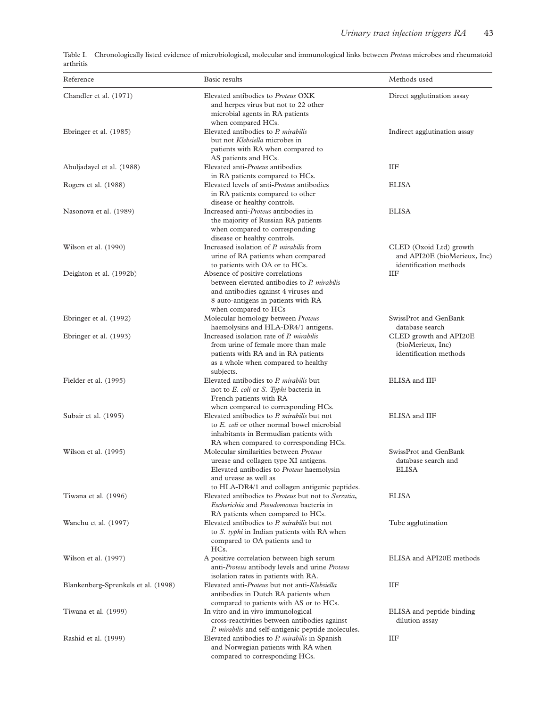| arthritis | Table I. Chronologically listed evidence of microbiological, molecular and immunological links between <i>Proteus</i> microbes and rheumatoid |
|-----------|-----------------------------------------------------------------------------------------------------------------------------------------------|
|           |                                                                                                                                               |

| Reference                           | Basic results                                                                                                                                                                                   | Methods used                                                                      |
|-------------------------------------|-------------------------------------------------------------------------------------------------------------------------------------------------------------------------------------------------|-----------------------------------------------------------------------------------|
| Chandler et al. (1971)              | Elevated antibodies to Proteus OXK<br>and herpes virus but not to 22 other<br>microbial agents in RA patients                                                                                   | Direct agglutination assay                                                        |
| Ebringer et al. (1985)              | when compared HCs.<br>Elevated antibodies to P. mirabilis<br>but not Klebsiella microbes in                                                                                                     | Indirect agglutination assay                                                      |
| Abuljadayel et al. (1988)           | patients with RA when compared to<br>AS patients and HCs.<br>Elevated anti-Proteus antibodies                                                                                                   | ΙIF                                                                               |
| Rogers et al. (1988)                | in RA patients compared to HCs.<br>Elevated levels of anti- <i>Proteus</i> antibodies<br>in RA patients compared to other<br>disease or healthy controls.                                       | <b>ELISA</b>                                                                      |
| Nasonova et al. (1989)              | Increased anti-Proteus antibodies in<br>the majority of Russian RA patients<br>when compared to corresponding<br>disease or healthy controls.                                                   | <b>ELISA</b>                                                                      |
| Wilson et al. (1990)                | Increased isolation of P. mirabilis from<br>urine of RA patients when compared<br>to patients with OA or to HCs.                                                                                | CLED (Oxoid Ltd) growth<br>and API20E (bioMerieux, Inc)<br>identification methods |
| Deighton et al. (1992b)             | Absence of positive correlations<br>between elevated antibodies to P. mirabilis<br>and antibodies against 4 viruses and<br>8 auto-antigens in patients with RA<br>when compared to HCs          | ΙIF                                                                               |
| Ebringer et al. (1992)              | Molecular homology between Proteus<br>haemolysins and HLA-DR4/1 antigens.                                                                                                                       | SwissProt and GenBank<br>database search                                          |
| Ebringer et al. (1993)              | Increased isolation rate of P. mirabilis<br>from urine of female more than male<br>patients with RA and in RA patients<br>as a whole when compared to healthy<br>subjects.                      | CLED growth and API20E<br>(bioMerieux, Inc)<br>identification methods             |
| Fielder et al. (1995)               | Elevated antibodies to P. mirabilis but<br>not to E. coli or S. Typhi bacteria in<br>French patients with RA                                                                                    | ELISA and IIF                                                                     |
| Subair et al. (1995)                | when compared to corresponding HCs.<br>Elevated antibodies to P. mirabilis but not<br>to E. coli or other normal bowel microbial<br>inhabitants in Bermudian patients with                      | ELISA and IIF                                                                     |
| Wilson et al. (1995)                | RA when compared to corresponding HCs.<br>Molecular similarities between Proteus<br>urease and collagen type XI antigens.<br>Elevated antibodies to Proteus haemolysin<br>and urease as well as | SwissProt and GenBank<br>database search and<br>ELISA                             |
| Tiwana et al. (1996)                | to HLA-DR4/1 and collagen antigenic peptides.<br>Elevated antibodies to Proteus but not to Serratia,<br>Escherichia and Pseudomonas bacteria in<br>RA patients when compared to HCs.            | <b>ELISA</b>                                                                      |
| Wanchu et al. (1997)                | Elevated antibodies to P. mirabilis but not<br>to S. typhi in Indian patients with RA when<br>compared to OA patients and to<br>HCs.                                                            | Tube agglutination                                                                |
| Wilson et al. (1997)                | A positive correlation between high serum<br>anti-Proteus antibody levels and urine Proteus<br>isolation rates in patients with RA.                                                             | ELISA and API20E methods                                                          |
| Blankenberg-Sprenkels et al. (1998) | Elevated anti-Proteus but not anti-Klebsiella<br>antibodies in Dutch RA patients when<br>compared to patients with AS or to HCs.                                                                | ΙIF                                                                               |
| Tiwana et al. (1999)                | In vitro and in vivo immunological<br>cross-reactivities between antibodies against<br>P. mirabilis and self-antigenic peptide molecules.                                                       | ELISA and peptide binding<br>dilution assay                                       |
| Rashid et al. (1999)                | Elevated antibodies to P. mirabilis in Spanish<br>and Norwegian patients with RA when<br>compared to corresponding HCs.                                                                         | ΙIF                                                                               |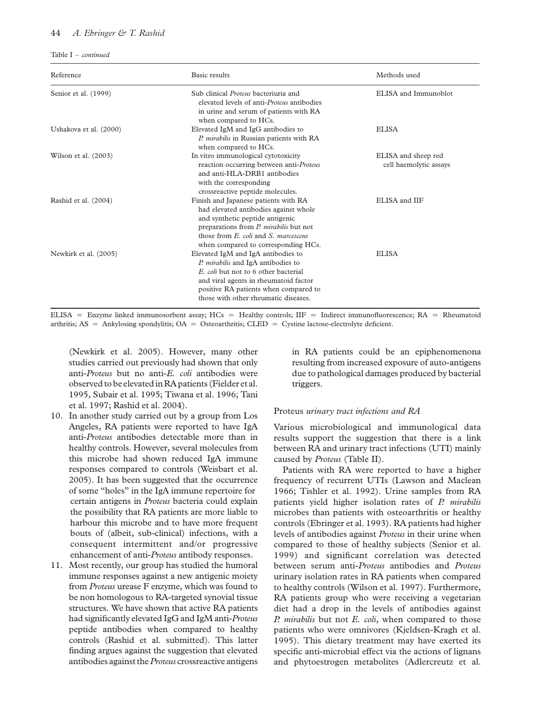#### 44 A. Ebringer & T. Rashid

Table  $I$  – *continued* 

| Reference              | <b>Basic results</b>                                                                                                                                                                                                                                    | Methods used                                  |
|------------------------|---------------------------------------------------------------------------------------------------------------------------------------------------------------------------------------------------------------------------------------------------------|-----------------------------------------------|
| Senior et al. (1999)   | Sub clinical <i>Proteus</i> bacteriuria and<br>elevated levels of anti- <i>Proteus</i> antibodies<br>in urine and serum of patients with RA<br>when compared to HCs.                                                                                    | ELISA and Immunoblot                          |
| Ushakova et al. (2000) | Elevated IgM and IgG antibodies to<br>P. mirabilis in Russian patients with RA<br>when compared to HCs.                                                                                                                                                 | <b>ELISA</b>                                  |
| Wilson et al. (2003)   | In vitro immunological cytotoxicity<br>reaction occurring between anti-Proteus<br>and anti-HLA-DRB1 antibodies<br>with the corresponding<br>crossreactive peptide molecules.                                                                            | ELISA and sheep red<br>cell haemolytic assays |
| Rashid et al. (2004)   | Finish and Japanese patients with RA<br>had elevated antibodies against whole<br>and synthetic peptide antigenic<br>preparations from P. mirabilis but not<br>those from <i>E. coli</i> and <i>S. marcescens</i><br>when compared to corresponding HCs. | ELISA and IIF                                 |
| Newkirk et al. (2005)  | Elevated IgM and IgA antibodies to<br>P. mirabilis and IgA antibodies to<br>E. coli but not to 6 other bacterial<br>and viral agents in rheumatoid factor<br>positive RA patients when compared to<br>those with other rheumatic diseases.              | <b>ELISA</b>                                  |

ELISA = Enzyme linked immunosorbent assay; HCs = Healthy controls; IIF = Indirect immunofluorescence; RA = Rheumatoid arthritis;  $AS =$  Ankylosing spondylitis;  $OA =$  Osteoarthritis; CLED = Cystine lactose-electrolyte deficient.

(Newkirk et al. 2005). However, many other studies carried out previously had shown that only anti-Proteus but no anti-E. coli antibodies were observed to be elevatedin RA patients (Fielder et al. 1995, Subair et al. 1995; Tiwana et al. 1996; Tani et al. 1997; Rashid et al. 2004).

- 10. In another study carried out by a group from Los Angeles, RA patients were reported to have IgA anti-Proteus antibodies detectable more than in healthy controls. However, several molecules from this microbe had shown reduced IgA immune responses compared to controls (Weisbart et al. 2005). It has been suggested that the occurrence of some "holes" in the IgA immune repertoire for certain antigens in Proteus bacteria could explain the possibility that RA patients are more liable to harbour this microbe and to have more frequent bouts of (albeit, sub-clinical) infections, with a consequent intermittent and/or progressive enhancement of anti-Proteus antibody responses.
- 11. Most recently, our group has studied the humoral immune responses against a new antigenic moiety from Proteus urease F enzyme, which was found to be non homologous to RA-targeted synovial tissue structures. We have shown that active RA patients had significantly elevated IgG and IgM anti-Proteus peptide antibodies when compared to healthy controls (Rashid et al. submitted). This latter finding argues against the suggestion that elevated antibodies against the Proteus crossreactive antigens

in RA patients could be an epiphenomenona resulting from increased exposure of auto-antigens due to pathological damages produced by bacterial triggers.

#### Proteus urinary tract infections and RA

Various microbiological and immunological data results support the suggestion that there is a link between RA and urinary tract infections (UTI) mainly caused by Proteus (Table II).

Patients with RA were reported to have a higher frequency of recurrent UTIs (Lawson and Maclean 1966; Tishler et al. 1992). Urine samples from RA patients yield higher isolation rates of P. mirabilis microbes than patients with osteoarthritis or healthy controls (Ebringer et al. 1993). RA patients had higher levels of antibodies against Proteus in their urine when compared to those of healthy subjects (Senior et al. 1999) and significant correlation was detected between serum anti-Proteus antibodies and Proteus urinary isolation rates in RA patients when compared to healthy controls (Wilson et al. 1997). Furthermore, RA patients group who were receiving a vegetarian diet had a drop in the levels of antibodies against P. mirabilis but not E. coli, when compared to those patients who were omnivores (Kjeldsen-Kragh et al. 1995). This dietary treatment may have exerted its specific anti-microbial effect via the actions of lignans and phytoestrogen metabolites (Adlercreutz et al.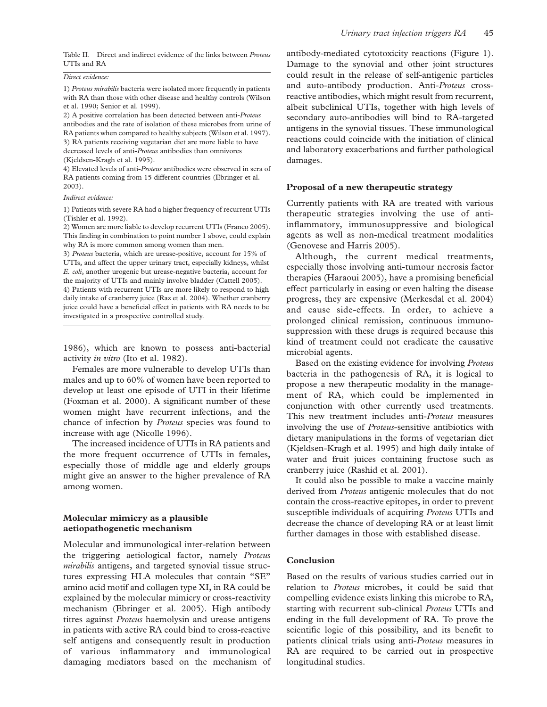#### Direct evidence:

1) Proteus mirabilis bacteria were isolated more frequently in patients with RA than those with other disease and healthy controls (Wilson et al. 1990; Senior et al. 1999).

2) A positive correlation has been detected between anti-Proteus antibodies and the rate of isolation of these microbes from urine of RA patients when compared to healthy subjects (Wilson et al. 1997). 3) RA patients receiving vegetarian diet are more liable to have decreased levels of anti-Proteus antibodies than omnivores (Kjeldsen-Kragh et al. 1995).

4) Elevated levels of anti-Proteus antibodies were observed in sera of RA patients coming from 15 different countries (Ebringer et al. 2003).

#### Indirect evidence:

1) Patients with severe RA had a higher frequency of recurrent UTIs (Tishler et al. 1992).

2) Women are more liable to develop recurrent UTIs (Franco 2005). This finding in combination to point number 1 above, could explain why RA is more common among women than men.

3) Proteus bacteria, which are urease-positive, account for 15% of UTIs, and affect the upper urinary tract, especially kidneys, whilst E. coli, another urogenic but urease-negative bacteria, account for the majority of UTIs and mainly involve bladder (Cattell 2005).

4) Patients with recurrent UTIs are more likely to respond to high daily intake of cranberry juice (Raz et al. 2004). Whether cranberry juice could have a beneficial effect in patients with RA needs to be investigated in a prospective controlled study.

1986), which are known to possess anti-bacterial activity in vitro (Ito et al. 1982).

Females are more vulnerable to develop UTIs than males and up to 60% of women have been reported to develop at least one episode of UTI in their lifetime (Foxman et al. 2000). A significant number of these women might have recurrent infections, and the chance of infection by Proteus species was found to increase with age (Nicolle 1996).

The increased incidence of UTIs in RA patients and the more frequent occurrence of UTIs in females, especially those of middle age and elderly groups might give an answer to the higher prevalence of RA among women.

#### Molecular mimicry as a plausible aetiopathogenetic mechanism

Molecular and immunological inter-relation between the triggering aetiological factor, namely Proteus mirabilis antigens, and targeted synovial tissue structures expressing HLA molecules that contain "SE" amino acid motif and collagen type XI, in RA could be explained by the molecular mimicry or cross-reactivity mechanism (Ebringer et al. 2005). High antibody titres against Proteus haemolysin and urease antigens in patients with active RA could bind to cross-reactive self antigens and consequently result in production of various inflammatory and immunological damaging mediators based on the mechanism of antibody-mediated cytotoxicity reactions (Figure 1). Damage to the synovial and other joint structures could result in the release of self-antigenic particles and auto-antibody production. Anti-Proteus crossreactive antibodies, which might result from recurrent, albeit subclinical UTIs, together with high levels of secondary auto-antibodies will bind to RA-targeted antigens in the synovial tissues. These immunological reactions could coincide with the initiation of clinical and laboratory exacerbations and further pathological damages.

#### Proposal of a new therapeutic strategy

Currently patients with RA are treated with various therapeutic strategies involving the use of antiinflammatory, immunosuppressive and biological agents as well as non-medical treatment modalities (Genovese and Harris 2005).

Although, the current medical treatments, especially those involving anti-tumour necrosis factor therapies (Haraoui 2005), have a promising beneficial effect particularly in easing or even halting the disease progress, they are expensive (Merkesdal et al. 2004) and cause side-effects. In order, to achieve a prolonged clinical remission, continuous immunosuppression with these drugs is required because this kind of treatment could not eradicate the causative microbial agents.

Based on the existing evidence for involving Proteus bacteria in the pathogenesis of RA, it is logical to propose a new therapeutic modality in the management of RA, which could be implemented in conjunction with other currently used treatments. This new treatment includes anti-Proteus measures involving the use of Proteus-sensitive antibiotics with dietary manipulations in the forms of vegetarian diet (Kjeldsen-Kragh et al. 1995) and high daily intake of water and fruit juices containing fructose such as cranberry juice (Rashid et al. 2001).

It could also be possible to make a vaccine mainly derived from Proteus antigenic molecules that do not contain the cross-reactive epitopes, in order to prevent susceptible individuals of acquiring Proteus UTIs and decrease the chance of developing RA or at least limit further damages in those with established disease.

#### Conclusion

Based on the results of various studies carried out in relation to Proteus microbes, it could be said that compelling evidence exists linking this microbe to RA, starting with recurrent sub-clinical Proteus UTIs and ending in the full development of RA. To prove the scientific logic of this possibility, and its benefit to patients clinical trials using anti-Proteus measures in RA are required to be carried out in prospective longitudinal studies.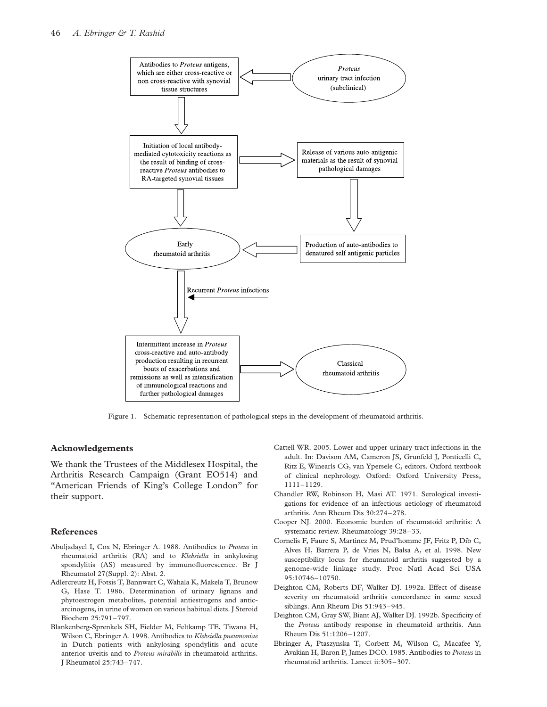

Figure 1. Schematic representation of pathological steps in the development of rheumatoid arthritis.

#### Acknowledgements

We thank the Trustees of the Middlesex Hospital, the Arthritis Research Campaign (Grant EO514) and "American Friends of King's College London" for their support.

#### References

- Abuljadayel I, Cox N, Ebringer A. 1988. Antibodies to Proteus in rheumatoid arthritis (RA) and to Klebsiella in ankylosing spondylitis (AS) measured by immunofluorescence. Br J Rheumatol 27(Suppl. 2): Abst. 2.
- Adlercreutz H, Fotsis T, Bannwart C, Wahala K, Makela T, Brunow G, Hase T. 1986. Determination of urinary lignans and phytoestrogen metabolites, potential antiestrogens and anticarcinogens, in urine of women on various habitual diets. J Steroid Biochem 25:791–797.
- Blankenberg-Sprenkels SH, Fielder M, Feltkamp TE, Tiwana H, Wilson C, Ebringer A. 1998. Antibodies to Klebsiella pneumoniae in Dutch patients with ankylosing spondylitis and acute anterior uveitis and to Proteus mirabilis in rheumatoid arthritis. J Rheumatol 25:743–747.
- Cattell WR. 2005. Lower and upper urinary tract infections in the adult. In: Davison AM, Cameron JS, Grunfeld J, Ponticelli C, Ritz E, Winearls CG, van Ypersele C, editors. Oxford textbook of clinical nephrology. Oxford: Oxford University Press, 1111–1129.
- Chandler RW, Robinson H, Masi AT. 1971. Serological investigations for evidence of an infectious aetiology of rheumatoid arthritis. Ann Rheum Dis 30:274–278.
- Cooper NJ. 2000. Economic burden of rheumatoid arthritis: A systematic review. Rheumatology 39:28–33.
- Cornelis F, Faure S, Martinez M, Prud'homme JF, Fritz P, Dib C, Alves H, Barrera P, de Vries N, Balsa A, et al. 1998. New susceptibility locus for rheumatoid arthritis suggested by a genome-wide linkage study. Proc Natl Acad Sci USA 95:10746–10750.
- Deighton CM, Roberts DF, Walker DJ. 1992a. Effect of disease severity on rheumatoid arthritis concordance in same sexed siblings. Ann Rheum Dis 51:943–945.
- Deighton CM, Gray SW, Biant AJ, Walker DJ. 1992b. Specificity of the Proteus antibody response in rheumatoid arthritis. Ann Rheum Dis 51:1206–1207.
- Ebringer A, Ptaszynska T, Corbett M, Wilson C, Macafee Y, Avakian H, Baron P, James DCO. 1985. Antibodies to Proteus in rheumatoid arthritis. Lancet ii:305 –307.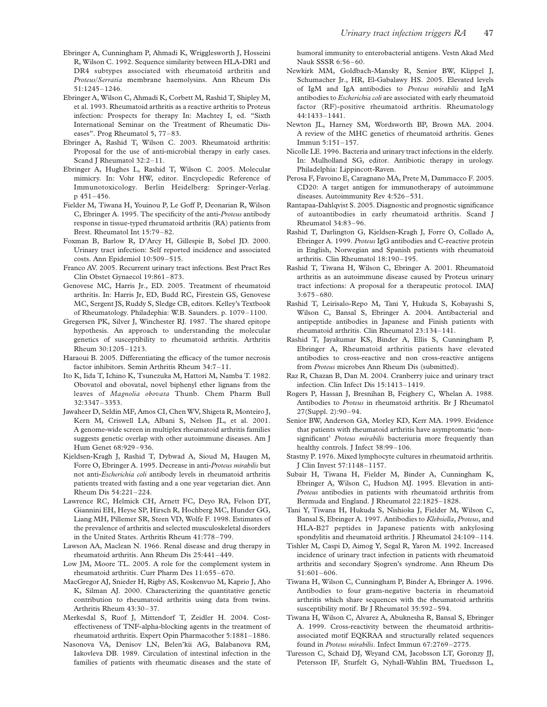- Ebringer A, Cunningham P, Ahmadi K, Wrigglesworth J, Hosseini R, Wilson C. 1992. Sequence similarity between HLA-DR1 and DR4 subtypes associated with rheumatoid arthritis and Proteus/Serratia membrane haemolysins. Ann Rheum Dis 51:1245–1246.
- Ebringer A, Wilson C, Ahmadi K, Corbett M, Rashid T, Shipley M, et al. 1993. Rheumatoid arthritis as a reactive arthritis to Proteus infection: Prospects for therapy In: Machtey I, ed. "Sixth International Seminar on the Treatment of Rheumatic Diseases". Prog Rheumatol 5, 77–83.
- Ebringer A, Rashid T, Wilson C. 2003. Rheumatoid arthritis: Proposal for the use of anti-microbial therapy in early cases. Scand J Rheumatol 32:2-11.
- Ebringer A, Hughes L, Rashid T, Wilson C. 2005. Molecular mimicry. In: Vohr HW, editor. Encyclopedic Reference of Immunotoxicology. Berlin Heidelberg: Springer-Verlag. p 451–456.
- Fielder M, Tiwana H, Youinou P, Le Goff P, Deonarian R, Wilson C, Ebringer A. 1995. The specificity of the anti-Proteus antibody response in tissue-typed rheumatoid arthritis (RA) patients from Brest. Rheumatol Int 15:79–82.
- Foxman B, Barlow R, D'Arcy H, Gillespie B, Sobel JD. 2000. Urinary tract infection: Self reported incidence and associated costs. Ann Epidemiol 10:509–515.
- Franco AV. 2005. Recurrent urinary tract infections. Best Pract Res Clin Obstet Gynaecol 19:861–873.
- Genovese MC, Harris Jr., ED. 2005. Treatment of rheumatoid arthritis. In: Harris Jr, ED, Budd RC, Firestein GS, Genovese MC, Sergent JS, Ruddy S, Sledge CB, editors. Kelley's Textbook of Rheumatology. Philadephia: W.B. Saunders. p. 1079–1100.
- Gregersen PK, Silver J, Winchester RJ. 1987. The shared epitope hypothesis. An approach to understanding the molecular genetics of susceptibility to rheumatoid arthritis. Arthritis Rheum 30:1205–1213.
- Haraoui B. 2005. Differentiating the efficacy of the tumor necrosis factor inhibitors. Semin Arthritis Rheum 34:7–11.
- Ito K, Iida T, Ichino K, Tsunezuka M, Hattori M, Namba T. 1982. Obovatol and obovatal, novel biphenyl ether lignans from the leaves of Magnolia obovata Thunb. Chem Pharm Bull 32:3347–3353.
- Jawaheer D, Seldin MF, Amos CI, Chen WV, Shigeta R, Monteiro J, Kern M, Criswell LA, Albani S, Nelson JL, et al. 2001. A genome-wide screen in multiplex rheumatoid arthritis families suggests genetic overlap with other autoimmune diseases. Am J Hum Genet 68:929–936.
- Kjeldsen-Kragh J, Rashid T, Dybwad A, Sioud M, Haugen M, Forre O, Ebringer A. 1995. Decrease in anti-Proteus mirabilis but not anti-Escherichia coli antibody levels in rheumatoid arthritis patients treated with fasting and a one year vegetarian diet. Ann Rheum Dis 54:221–224.
- Lawrence RC, Helmick CH, Arnett FC, Deyo RA, Felson DT, Giannini EH, Heyse SP, Hirsch R, Hochberg MC, Hunder GG, Liang MH, Pillemer SR, Steen VD, Wolfe F. 1998. Estimates of the prevalence of arthritis and selected musculoskeletal disorders in the United States. Arthritis Rheum 41:778–799.
- Lawson AA, Maclean N. 1966. Renal disease and drug therapy in rheumatoid arthritis. Ann Rheum Dis 25:441–449.
- Low JM, Moore TL. 2005. A role for the complement system in rheumatoid arthritis. Curr Pharm Des 11:655–670.
- MacGregor AJ, Snieder H, Rigby AS, Koskenvuo M, Kaprio J, Aho K, Silman AJ. 2000. Characterizing the quantitative genetic contribution to rheumatoid arthritis using data from twins. Arthritis Rheum 43:30–37.
- Merkesdal S, Ruof J, Mittendorf T, Zeidler H. 2004. Costeffectiveness of TNF-alpha-blocking agents in the treatment of rheumatoid arthritis. Expert Opin Pharmacother 5:1881–1886.
- Nasonova VA, Denisov LN, Belen'kii AG, Balabanova RM, Iakovleva DB. 1989. Circulation of intestinal infection in the families of patients with rheumatic diseases and the state of

humoral immunity to enterobacterial antigens. Vestn Akad Med Nauk SSSR 6:56 –60.

- Newkirk MM, Goldbach-Mansky R, Senior BW, Klippel J, Schumacher Jr., HR, El-Gabalawy HS. 2005. Elevated levels of IgM and IgA antibodies to Proteus mirabilis and IgM antibodies to Escherichia coli are associated with early rheumatoid factor (RF)-positive rheumatoid arthritis. Rheumatology 44:1433–1441.
- Newton JL, Harney SM, Wordsworth BP, Brown MA. 2004. A review of the MHC genetics of rheumatoid arthritis. Genes Immun 5:151–157.
- Nicolle LE. 1996. Bacteria and urinary tract infections in the elderly. In: Mulholland SG, editor. Antibiotic therapy in urology. Philadelphia: Lippincott-Raven.
- Perosa F, Favoino E, Caragnano MA, Prete M, Dammacco F. 2005. CD20: A target antigen for immunotherapy of autoimmune diseases. Autoimmunity Rev 4:526–531.
- Rantapaa-Dahlqvist S. 2005. Diagnostic and prognostic significance of autoantibodies in early rheumatoid arthritis. Scand J Rheumatol 34:83–96.
- Rashid T, Darlington G, Kjeldsen-Kragh J, Forre O, Collado A, Ebringer A. 1999. Proteus IgG antibodies and C-reactive protein in English, Norwegian and Spanish patients with rheumatoid arthritis. Clin Rheumatol 18:190–195.
- Rashid T, Tiwana H, Wilson C, Ebringer A. 2001. Rheumatoid arthritis as an autoimmune disease caused by Proteus urinary tract infections: A proposal for a therapeutic protocol. IMAJ 3:675–680.
- Rashid T, Leirisalo-Repo M, Tani Y, Hukuda S, Kobayashi S, Wilson C, Bansal S, Ebringer A. 2004. Antibacterial and antipeptide antibodies in Japanese and Finish patients with rheumatoid arthritis. Clin Rheumatol 23:134–141.
- Rashid T, Jayakumar KS, Binder A, Ellis S, Cunningham P, Ebringer A, Rheumatoid arthritis patients have elevated antibodies to cross-reactive and non cross-reactive antigens from Proteus microbes Ann Rheum Dis (submitted).
- Raz R, Chazan B, Dan M. 2004. Cranberry juice and urinary tract infection. Clin Infect Dis 15:1413–1419.
- Rogers P, Hassan J, Bresnihan B, Feighery C, Whelan A. 1988. Antibodies to Proteus in rheumatoid arthritis. Br J Rheumatol 27(Suppl. 2):90 –94.
- Senior BW, Anderson GA, Morley KD, Kerr MA. 1999. Evidence that patients with rheumatoid arthritis have asymptomatic 'nonsignificant' Proteus mirabilis bacteriuria more frequently than healthy controls. J Infect 38:99–106.
- Stastny P. 1976. Mixed lymphocyte cultures in rheumatoid arthritis. J Clin Invest 57:1148–1157.
- Subair H, Tiwana H, Fielder M, Binder A, Cunningham K, Ebringer A, Wilson C, Hudson MJ. 1995. Elevation in anti-Proteus antibodies in patients with rheumatoid arthritis from Bermuda and England. J Rheumatol 22:1825–1828.
- Tani Y, Tiwana H, Hukuda S, Nishioka J, Fielder M, Wilson C, Bansal S, Ebringer A. 1997. Antibodies to Klebsiella, Proteus, and HLA-B27 peptides in Japanese patients with ankylosing spondylitis and rheumatoid arthritis. J Rheumatol 24:109–114.
- Tishler M, Caspi D, Aimog Y, Segal R, Yaron M. 1992. Increased incidence of urinary tract infection in patients with rheumatoid arthritis and secondary Sjogren's syndrome. Ann Rheum Dis 51:601–606.
- Tiwana H, Wilson C, Cunningham P, Binder A, Ebringer A. 1996. Antibodies to four gram-negative bacteria in rheumatoid arthritis which share sequences with the rheumatoid arthritis susceptibility motif. Br J Rheumatol 35:592–594.
- Tiwana H, Wilson C, Alvarez A, Abuknesha R, Bansal S, Ebringer A. 1999. Cross-reactivity between the rheumatoid arthritisassociated motif EQKRAA and structurally related sequences found in Proteus mirabilis. Infect Immun 67:2769–2775.
- Turesson C, Schaid DJ, Weyand CM, Jacobsson LT, Goronzy JJ, Petersson IF, Sturfelt G, Nyhall-Wahlin BM, Truedsson L,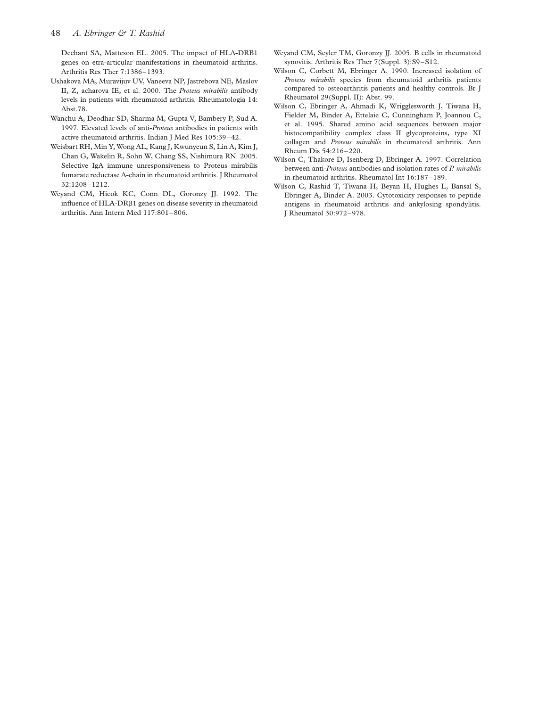Dechant SA, Matteson EL. 2005. The impact of HLA-DRB1 genes on etra-articular manifestations in rheumatoid arthritis. Arthritis Res Ther 7:1386–1393.

- Ushakova MA, Muravijuv UV, Vaneeva NP, Jastrebova NE, Maslov II, Z, acharova IE, et al. 2000. The Proteus mirabilis antibody levels in patients with rheumatoid arthritis. Rheumatologia 14: Abst.78.
- Wanchu A, Deodhar SD, Sharma M, Gupta V, Bambery P, Sud A. 1997. Elevated levels of anti-Proteus antibodies in patients with active rheumatoid arthritis. Indian J Med Res 105:39–42.
- Weisbart RH, Min Y, Wong AL, Kang J, Kwunyeun S, Lin A, Kim J, Chan G, Wakelin R, Sohn W, Chang SS, Nishimura RN. 2005. Selective IgA immune unresponsiveness to Proteus mirabilis fumarate reductase A-chain in rheumatoid arthritis. J Rheumatol 32:1208–1212.
- Weyand CM, Hicok KC, Conn DL, Goronzy JJ. 1992. The influence of HLA-DR*b*1 genes on disease severity in rheumatoid arthritis. Ann Intern Med 117:801–806.
- Weyand CM, Seyler TM, Goronzy JJ. 2005. B cells in rheumatoid synovitis. Arthritis Res Ther 7(Suppl. 3):S9–S12.
- Wilson C, Corbett M, Ebringer A. 1990. Increased isolation of Proteus mirabilis species from rheumatoid arthritis patients compared to osteoarthritis patients and healthy controls. Br J Rheumatol 29(Suppl. II): Abst. 99.
- Wilson C, Ebringer A, Ahmadi K, Wrigglesworth J, Tiwana H, Fielder M, Binder A, Ettelaie C, Cunningham P, Joannou C, et al. 1995. Shared amino acid sequences between major histocompatibility complex class II glycoproteins, type XI collagen and Proteus mirabilis in rheumatoid arthritis. Ann Rheum Dis 54:216–220.
- Wilson C, Thakore D, Isenberg D, Ebringer A. 1997. Correlation between anti-Proteus antibodies and isolation rates of P. mirabilis in rheumatoid arthritis. Rheumatol Int 16:187–189.
- Wilson C, Rashid T, Tiwana H, Beyan H, Hughes L, Bansal S, Ebringer A, Binder A. 2003. Cytotoxicity responses to peptide antigens in rheumatoid arthritis and ankylosing spondylitis. J Rheumatol 30:972–978.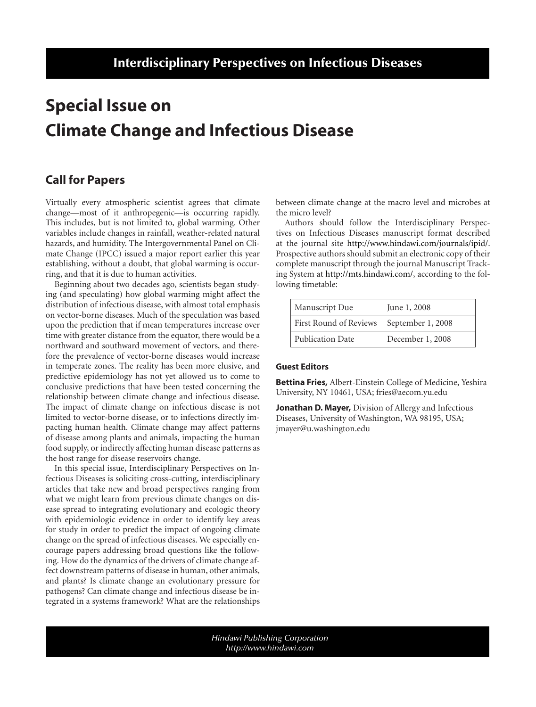# **Special Issue on Climate Change and Infectious Disease**

## **Call for Papers**

Virtually every atmospheric scientist agrees that climate change—most of it anthropegenic—is occurring rapidly. This includes, but is not limited to, global warming. Other variables include changes in rainfall, weather-related natural hazards, and humidity. The Intergovernmental Panel on Climate Change (IPCC) issued a major report earlier this year establishing, without a doubt, that global warming is occurring, and that it is due to human activities.

Beginning about two decades ago, scientists began studying (and speculating) how global warming might affect the distribution of infectious disease, with almost total emphasis on vector-borne diseases. Much of the speculation was based upon the prediction that if mean temperatures increase over time with greater distance from the equator, there would be a northward and southward movement of vectors, and therefore the prevalence of vector-borne diseases would increase in temperate zones. The reality has been more elusive, and predictive epidemiology has not yet allowed us to come to conclusive predictions that have been tested concerning the relationship between climate change and infectious disease. The impact of climate change on infectious disease is not limited to vector-borne disease, or to infections directly impacting human health. Climate change may affect patterns of disease among plants and animals, impacting the human food supply, or indirectly affecting human disease patterns as the host range for disease reservoirs change.

In this special issue, Interdisciplinary Perspectives on Infectious Diseases is soliciting cross-cutting, interdisciplinary articles that take new and broad perspectives ranging from what we might learn from previous climate changes on disease spread to integrating evolutionary and ecologic theory with epidemiologic evidence in order to identify key areas for study in order to predict the impact of ongoing climate change on the spread of infectious diseases. We especially encourage papers addressing broad questions like the following. How do the dynamics of the drivers of climate change affect downstream patterns of disease in human, other animals, and plants? Is climate change an evolutionary pressure for pathogens? Can climate change and infectious disease be integrated in a systems framework? What are the relationships between climate change at the macro level and microbes at the micro level?

Authors should follow the Interdisciplinary Perspectives on Infectious Diseases manuscript format described at the journal site [http://www.hindawi.com/journals/ipid/.](http://www.hindawi.com/journals/ipid/) Prospective authors should submit an electronic copy of their complete manuscript through the journal Manuscript Tracking System at [http://mts.hindawi.com/,](http://mts.hindawi.com/) according to the following timetable:

| Manuscript Due          | June 1, 2008      |
|-------------------------|-------------------|
| First Round of Reviews  | September 1, 2008 |
| <b>Publication Date</b> | December 1, 2008  |

### **Guest Editors**

**Bettina Fries,** Albert-Einstein College of Medicine, Yeshira University, NY 10461, USA; fries@aecom.yu.edu

**Jonathan D. Mayer,** Division of Allergy and Infectious Diseases, University of Washington, WA 98195, USA; jmayer@u.washington.edu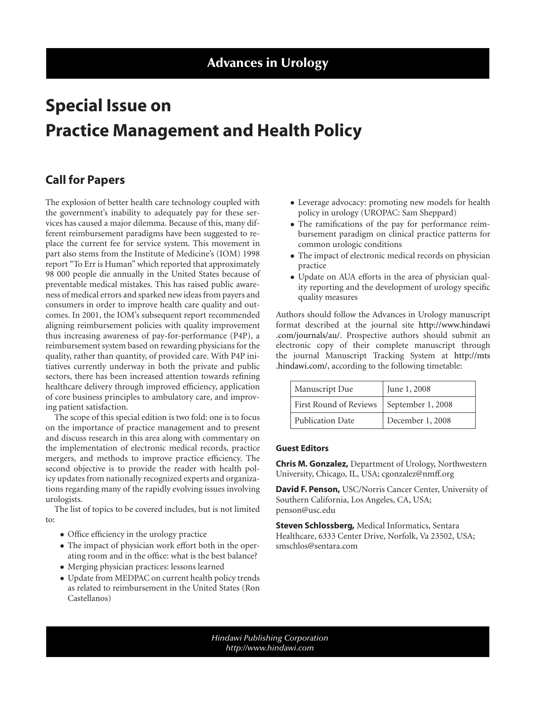# **Special Issue on Practice Management and Health Policy**

## **Call for Papers**

The explosion of better health care technology coupled with the government's inability to adequately pay for these services has caused a major dilemma. Because of this, many different reimbursement paradigms have been suggested to replace the current fee for service system. This movement in part also stems from the Institute of Medicine's (IOM) 1998 report "To Err is Human" which reported that approximately 98 000 people die annually in the United States because of preventable medical mistakes. This has raised public awareness of medical errors and sparked new ideas from payers and consumers in order to improve health care quality and outcomes. In 2001, the IOM's subsequent report recommended aligning reimbursement policies with quality improvement thus increasing awareness of pay-for-performance (P4P), a reimbursement system based on rewarding physicians for the quality, rather than quantity, of provided care. With P4P initiatives currently underway in both the private and public sectors, there has been increased attention towards refining healthcare delivery through improved efficiency, application of core business principles to ambulatory care, and improving patient satisfaction.

The scope of this special edition is two fold: one is to focus on the importance of practice management and to present and discuss research in this area along with commentary on the implementation of electronic medical records, practice mergers, and methods to improve practice efficiency. The second objective is to provide the reader with health policy updates from nationally recognized experts and organizations regarding many of the rapidly evolving issues involving urologists.

The list of topics to be covered includes, but is not limited to:

- Office efficiency in the urology practice
- The impact of physician work effort both in the operating room and in the office: what is the best balance?
- Merging physician practices: lessons learned
- Update from MEDPAC on current health policy trends as related to reimbursement in the United States (Ron Castellanos)
- Leverage advocacy: promoting new models for health policy in urology (UROPAC: Sam Sheppard)
- The ramifications of the pay for performance reimbursement paradigm on clinical practice patterns for common urologic conditions
- The impact of electronic medical records on physician practice
- Update on AUA efforts in the area of physician quality reporting and the development of urology specific quality measures

Authors should follow the Advances in Urology manuscript format described at the journal site [http://www.hindawi](http://www.hindawi.com/journals/au/) [.com/journals/au/.](http://www.hindawi.com/journals/au/) Prospective authors should submit an electronic copy of their complete manuscript through the journal Manuscript Tracking System at [http://mts](http://mts.hindawi.com/) [.hindawi.com/,](http://mts.hindawi.com/) according to the following timetable:

| Manuscript Due          | June 1, 2008      |
|-------------------------|-------------------|
| First Round of Reviews  | September 1, 2008 |
| <b>Publication Date</b> | December 1, 2008  |

### **Guest Editors**

**Chris M. Gonzalez,** Department of Urology, Northwestern University, Chicago, IL, USA; cgonzalez@nmff.org

**David F. Penson,** USC/Norris Cancer Center, University of Southern California, Los Angeles, CA, USA; penson@usc.edu

**Steven Schlossberg,** Medical Informatics, Sentara Healthcare, 6333 Center Drive, Norfolk, Va 23502, USA; smschlos@sentara.com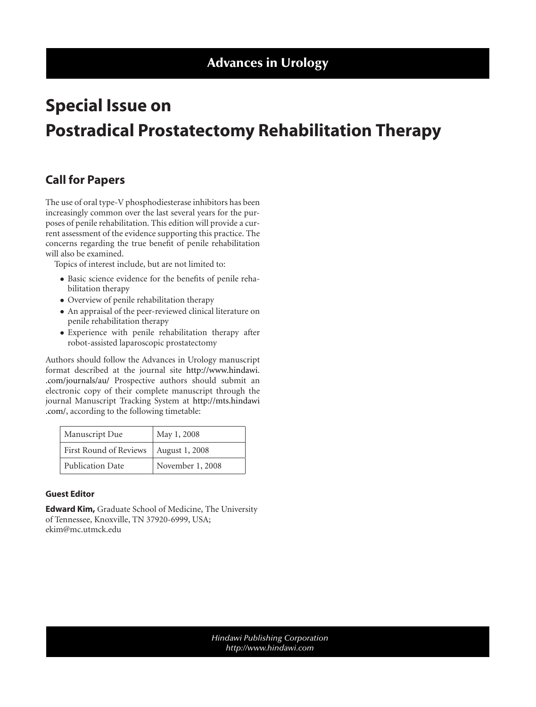# **Special Issue on Postradical Prostatectomy Rehabilitation Therapy**

## **Call for Papers**

The use of oral type-V phosphodiesterase inhibitors has been increasingly common over the last several years for the purposes of penile rehabilitation. This edition will provide a current assessment of the evidence supporting this practice. The concerns regarding the true benefit of penile rehabilitation will also be examined.

Topics of interest include, but are not limited to:

- Basic science evidence for the benefits of penile rehabilitation therapy
- Overview of penile rehabilitation therapy
- An appraisal of the peer-reviewed clinical literature on penile rehabilitation therapy
- Experience with penile rehabilitation therapy after robot-assisted laparoscopic prostatectomy

Authors should follow the Advances in Urology manuscript format described at the journal site [http://www.hindawi.](http://www.hindawi.com/journals/au/) [.com/journals/au/](http://www.hindawi.com/journals/au/) Prospective authors should submit an electronic copy of their complete manuscript through the journal Manuscript Tracking System at [http://mts.hindawi](http://mts.hindawi.com/) [.com/,](http://mts.hindawi.com/) according to the following timetable:

| Manuscript Due          | May 1, 2008      |
|-------------------------|------------------|
| First Round of Reviews  | August 1, 2008   |
| <b>Publication Date</b> | November 1, 2008 |

### **Guest Editor**

**Edward Kim,** Graduate School of Medicine, The University of Tennessee, Knoxville, TN 37920-6999, USA; ekim@mc.utmck.edu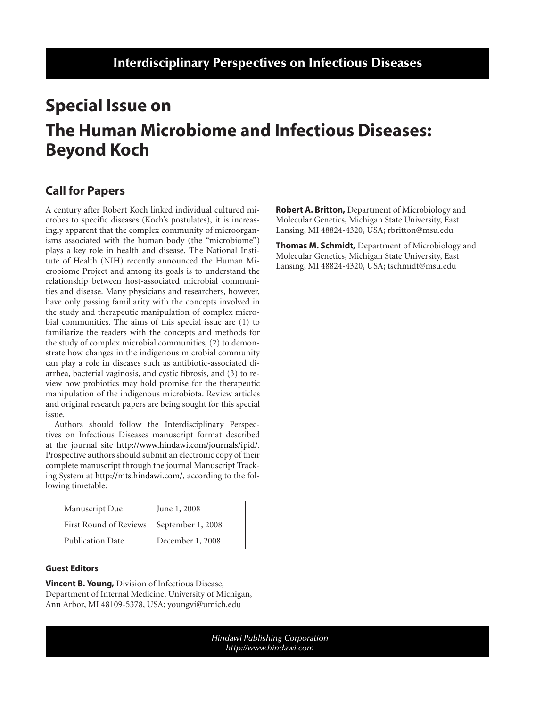# **Special Issue on The Human Microbiome and Infectious Diseases: Beyond Koch**

## **Call for Papers**

A century after Robert Koch linked individual cultured microbes to specific diseases (Koch's postulates), it is increasingly apparent that the complex community of microorganisms associated with the human body (the "microbiome") plays a key role in health and disease. The National Institute of Health (NIH) recently announced the Human Microbiome Project and among its goals is to understand the relationship between host-associated microbial communities and disease. Many physicians and researchers, however, have only passing familiarity with the concepts involved in the study and therapeutic manipulation of complex microbial communities. The aims of this special issue are (1) to familiarize the readers with the concepts and methods for the study of complex microbial communities, (2) to demonstrate how changes in the indigenous microbial community can play a role in diseases such as antibiotic-associated diarrhea, bacterial vaginosis, and cystic fibrosis, and (3) to review how probiotics may hold promise for the therapeutic manipulation of the indigenous microbiota. Review articles and original research papers are being sought for this special issue.

Authors should follow the Interdisciplinary Perspectives on Infectious Diseases manuscript format described at the journal site [http://www.hindawi.com/journals/ipid/.](http://www.hindawi.com/journals/ipid/) Prospective authors should submit an electronic copy of their complete manuscript through the journal Manuscript Tracking System at [http://mts.hindawi.com/,](http://mts.hindawi.com/) according to the following timetable:

| Manuscript Due                             | June 1, 2008     |
|--------------------------------------------|------------------|
| First Round of Reviews   September 1, 2008 |                  |
| <b>Publication Date</b>                    | December 1, 2008 |

### **Guest Editors**

**Vincent B. Young,** Division of Infectious Disease, Department of Internal Medicine, University of Michigan, Ann Arbor, MI 48109-5378, USA; youngvi@umich.edu

**Robert A. Britton,** Department of Microbiology and Molecular Genetics, Michigan State University, East Lansing, MI 48824-4320, USA; rbritton@msu.edu

**Thomas M. Schmidt,** Department of Microbiology and Molecular Genetics, Michigan State University, East Lansing, MI 48824-4320, USA; tschmidt@msu.edu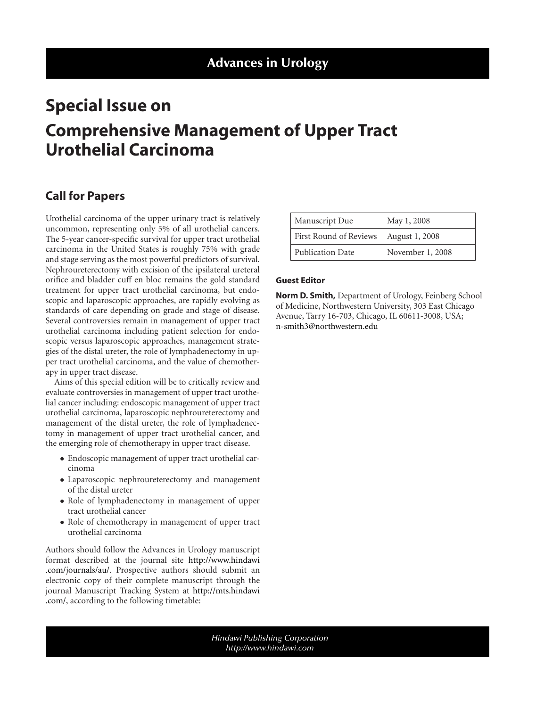# **Special Issue on Comprehensive Management of Upper Tract Urothelial Carcinoma**

## **Call for Papers**

Urothelial carcinoma of the upper urinary tract is relatively uncommon, representing only 5% of all urothelial cancers. The 5-year cancer-specific survival for upper tract urothelial carcinoma in the United States is roughly 75% with grade and stage serving as the most powerful predictors of survival. Nephroureterectomy with excision of the ipsilateral ureteral orifice and bladder cuff en bloc remains the gold standard treatment for upper tract urothelial carcinoma, but endoscopic and laparoscopic approaches, are rapidly evolving as standards of care depending on grade and stage of disease. Several controversies remain in management of upper tract urothelial carcinoma including patient selection for endoscopic versus laparoscopic approaches, management strategies of the distal ureter, the role of lymphadenectomy in upper tract urothelial carcinoma, and the value of chemotherapy in upper tract disease.

Aims of this special edition will be to critically review and evaluate controversies in management of upper tract urothelial cancer including: endoscopic management of upper tract urothelial carcinoma, laparoscopic nephroureterectomy and management of the distal ureter, the role of lymphadenectomy in management of upper tract urothelial cancer, and the emerging role of chemotherapy in upper tract disease.

- Endoscopic management of upper tract urothelial carcinoma
- Laparoscopic nephroureterectomy and management of the distal ureter
- Role of lymphadenectomy in management of upper tract urothelial cancer
- Role of chemotherapy in management of upper tract urothelial carcinoma

Authors should follow the Advances in Urology manuscript format described at the journal site [http://www.hindawi](http://www.hindawi.com/journals/au/) [.com/journals/au/.](http://www.hindawi.com/journals/au/) Prospective authors should submit an electronic copy of their complete manuscript through the journal Manuscript Tracking System at [http://mts.hindawi](http://mts.hindawi.com/) [.com/,](http://mts.hindawi.com/) according to the following timetable:

| Manuscript Due         | May 1, 2008      |
|------------------------|------------------|
| First Round of Reviews | August 1, 2008   |
| Publication Date       | November 1, 2008 |

### **Guest Editor**

**Norm D. Smith,** Department of Urology, Feinberg School of Medicine, Northwestern University, 303 East Chicago Avenue, Tarry 16-703, Chicago, IL 60611-3008, USA; [n-smith3@northwestern.edu](mailto:n-smith3@northwestern.edu)